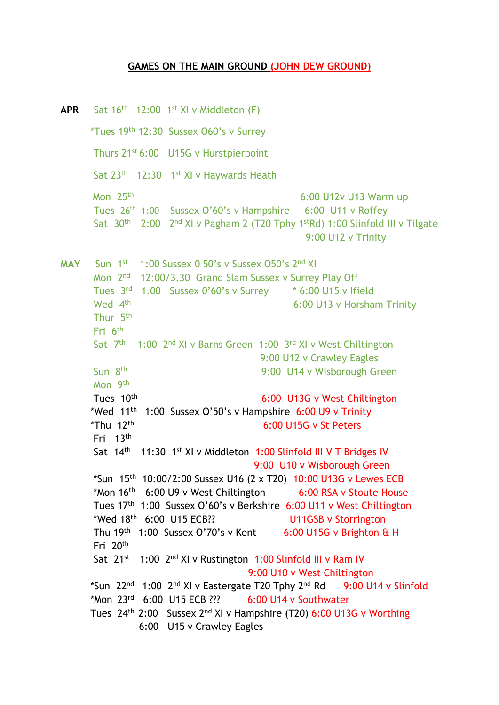## **GAMES ON THE MAIN GROUND (JOHN DEW GROUND)**

 $APR$  Sat 16<sup>th</sup> 12:00 1<sup>st</sup> XI v Middleton (F) \*Tues 19th 12:30 Sussex O60's v Surrey Thurs 21st 6:00 U15G v Hurstpierpoint Sat 23<sup>th</sup> 12:30 1<sup>st</sup> XI v Haywards Heath Mon 25th 6:00 U12v U13 Warm up Tues 26<sup>th</sup> 1:00 Sussex O'60's v Hampshire 6:00 U11 v Roffey Sat  $30<sup>th</sup>$  2:00  $2<sup>nd</sup>$  XI v Pagham 2 (T20 Tphy 1<sup>st</sup>Rd) 1:00 Slinfold III v Tilgate 9:00 U12 v Trinity **MAY** Sun 1<sup>st</sup> 1:00 Sussex 0 50's v Sussex 050's 2<sup>nd</sup> XI Mon 2<sup>nd</sup> 12:00/3.30 Grand Slam Sussex v Surrey Play Off Tues 3<sup>rd</sup> 1.00 Sussex 0'60's v Surrey \* 6:00 U15 v Ifield Wed 4<sup>th</sup> 6:00 U13 v Horsham Trinity Thur 5th Eri 6<sup>th</sup> Sat 7<sup>th</sup> 1:00 2<sup>nd</sup> XI v Barns Green 1:00 3<sup>rd</sup> XI v West Chiltington 9:00 U12 v Crawley Eagles sun 8<sup>th</sup> 9:00 U14 v Wisborough Green Mon 9<sup>th</sup> Tues 10<sup>th</sup> 6:00 U13G v West Chiltington \*Wed  $11<sup>th</sup>$  1:00 Sussex O'50's v Hampshire 6:00 U9 v Trinity \*Thu 12<sup>th</sup> 6:00 U15G v St Peters Fri 13<sup>th</sup> Sat 14<sup>th</sup> 11:30 1<sup>st</sup> XI v Middleton 1:00 Slinfold III V T Bridges IV 9:00 U10 v Wisborough Green \*Sun 15<sup>th</sup> 10:00/2:00 Sussex U16 (2 x T20) 10:00 U13G v Lewes ECB \*Mon 16<sup>th</sup> 6:00 U9 v West Chiltington 6:00 RSA v Stoute House Tues 17<sup>th</sup> 1:00 Sussex O'60's v Berkshire 6:00 U11 v West Chiltington \*Wed  $18^{th}$  6:00 U15 ECB?? **U11GSB v Storrington** Thu 19<sup>th</sup> 1:00 Sussex O'70's v Kent 6:00 U15G v Brighton & H Fri 20<sup>th</sup> Sat 21<sup>st</sup> 1:00 2<sup>nd</sup> XI v Rustington 1:00 Slinfold III v Ram IV 9:00 U10 v West Chiltington \*Sun 22<sup>nd</sup> 1:00 2<sup>nd</sup> XI v Eastergate T20 Tphy 2<sup>nd</sup> Rd 9:00 U14 v Slinfold \*Mon 23 rd 6:00 U15 ECB ??? 6:00 U14 v Southwater Tues 24<sup>th</sup> 2:00 Sussex 2<sup>nd</sup> XI v Hampshire (T20) 6:00 U13G v Worthing 6:00 U15 v Crawley Eagles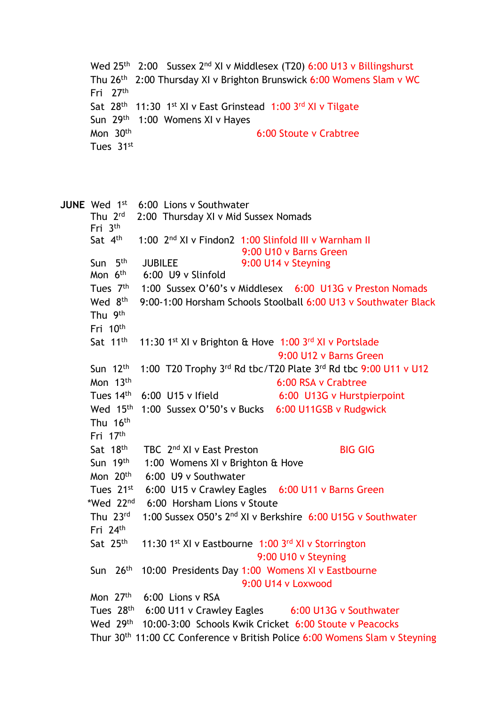```
Wed 25<sup>th</sup> 2:00 Sussex 2<sup>nd</sup> XI v Middlesex (T20) 6:00 U13 v Billingshurst
Thu 26<sup>th</sup> 2:00 Thursday XI v Brighton Brunswick 6:00 Womens Slam v WC
Fri 27<sup>th</sup>
       Sat 28<sup>th</sup> 11:30 1<sup>st</sup> XI v East Grinstead 1:00 3<sup>rd</sup> XI v Tilgate
Sun 29<sup>th</sup> 1:00 Womens XI v Hayes
       Mon 30<sup>th</sup>
                                                  6:00 Stoute v Crabtree
Tues 31st
```
JUNE Wed 1<sup>st</sup> 6:00 Lions v Southwater Thu  $2^{\text{rd}}$ 2:00 Thursday XI v Mid Sussex Nomads Fri 3 th Sat 4<sup>th</sup> 1:00 2<sup>nd</sup> XI v Findon2 1:00 Slinfold III v Warnham II 9:00 U10 v Barns Green Sun 5<sup>th</sup> JUBILEE 9:00 U14 v Steyning Mon 6<sup>th</sup>  $6:00$  U9 v Slinfold Tues 7<sup>th</sup> 1:00 Sussex O'60's v Middlesex 6:00 U13G v Preston Nomads Wed 8<sup>th</sup> th 9:00-1:00 Horsham Schools Stoolball 6:00 U13 v Southwater Black Thu 9<sup>th</sup> Fri 10<sup>th</sup> Sat 11<sup>th</sup> <sup>th</sup> 11:30 1<sup>st</sup> XI v Brighton & Hove 1:00 3<sup>rd</sup> XI v Portslade 9:00 U12 v Barns Green Sun 12<sup>th</sup> 1:00 T20 Trophy 3rd Rd tbc/T20 Plate 3rd Rd tbc 9:00 U11 v U12 Mon 13th 6:00 RSA v Crabtree Tues  $14<sup>th</sup>$  6:00 U15 v Ifield 6:00 U13G v Hurstpierpoint Wed 15<sup>th</sup> 1:00 Sussex O'50's v Bucks 6:00 U11GSB v Rudgwick Thu 16<sup>th</sup> Fri 17<sup>th</sup> Sat 18<sup>th</sup> th TBC 2<sup>nd</sup> XI v East Preston BIG GIG Sun 19<sup>th</sup> 1:00 Womens XI v Brighton & Hove Mon 20th 6:00 U9 v Southwater Tues 21st 6:00 U15 v Crawley Eagles 6:00 U11 v Barns Green \*Wed 22 nd 6:00 Horsham Lions v Stoute Thu 23rd 1:00 Sussex O50's 2<sup>nd</sup> XI v Berkshire 6:00 U15G v Southwater Fri 24<sup>th</sup> Sat 25<sup>th</sup> <sup>th</sup> 11:30 1<sup>st</sup> XI v Eastbourne 1:00 3<sup>rd</sup> XI v Storrington 9:00 U10 v Steyning Sun 26<sup>th</sup> 10:00 Presidents Day 1:00 Womens XI v Eastbourne 9:00 U14 v Loxwood Mon 27<sup>th</sup> 6:00 Lions v RSA Tues 28<sup>th</sup> 6:00 U11 v Crawley Eagles 6:00 U13G v Southwater Wed 29<sup>th</sup> 10:00-3:00 Schools Kwik Cricket 6:00 Stoute v Peacocks Thur 30th 11:00 CC Conference v British Police 6:00 Womens Slam v Steyning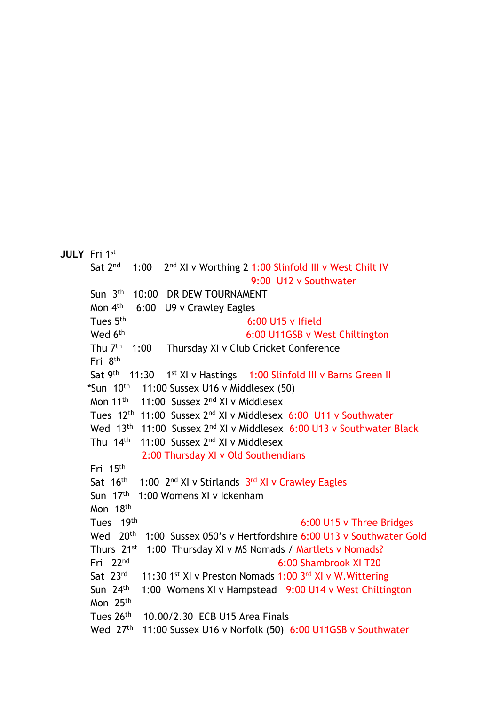```
JULY Fri 1st
       Sat 2nd
                   1:002<sup>nd</sup> XI v Worthing 2 1:00 Slinfold III v West Chilt IV
                                                   9:00 U12 v Southwater
Sun 3<sup>th</sup>
                    10:00 DR DEW TOURNAMENT
       Mon 4<sup>th</sup>
                   6:00 U9 v Crawley Eagles
Tues 5<sup>th</sup>
                                                  6:00 U15 v Ifield
       Wed 6<sup>th</sup>
                                                 6:00 U11GSB v West Chiltington
Thu 7<sup>th</sup>
                   1:00 Thursday XI v Club Cricket Conference
 Fri 8
th
Sat 9<sup>th</sup> 11:30 1
                          1<sup>st</sup> XI v Hastings 1:00 Slinfold III v Barns Green II
*Sun 10<sup>th</sup>
                      11:00 Sussex U16 v Middlesex (50)
Mon 11<sup>th</sup>
                    11:00 Sussex 2<sup>nd</sup> XI v Middlesex
        Tues 12<sup>th</sup> 11:00 Sussex 2<sup>nd</sup> XI v Middlesex 6:00 U11 v Southwater
        Wed 13<sup>th</sup> 11:00 Sussex 2<sup>nd</sup> XI v Middlesex 6:00 U13 v Southwater Black
        Thu 14<sup>th</sup> 11:00 Sussex 2<sup>nd</sup> XI v Middlesex
                      2:00 Thursday XI v Old Southendians
        Fri 15<sup>th</sup>
        Sat 16<sup>th</sup>
                 1:00 2<sup>nd</sup> XI v Stirlands 3<sup>rd</sup> XI v Crawley Eagles
        Sun 17<sup>th</sup> 1:00 Womens XI v Ickenham
        Mon 18<sup>th</sup>
       Tues 19th
                                                                6:00 U15 v Three Bridges
        Wed 20<sup>th</sup>
                       1:00 Sussex 050's v Hertfordshire 6:00 U13 v Southwater Gold
        Thurs 21<sup>st</sup> 1:00 Thursday XI v MS Nomads / Martlets v Nomads?
        Fri 22
nd
                                                          6:00 Shambrook XI T20
       Sat 23rd
                <sup>rd</sup> 11:30 1<sup>st</sup> XI v Preston Nomads 1:00 3<sup>rd</sup> XI v W. Wittering
        Sun 24<sup>th</sup>
                      1:00 Womens XI v Hampstead 9:00 U14 v West Chiltington 
        Mon 25<sup>th</sup>
Tues 26<sup>th</sup>
                      10.00/2.30 ECB U15 Area Finals
Wed 27<sup>th</sup> 11:00 Sussex U16 v Norfolk (50) 6:00 U11GSB v Southwater
```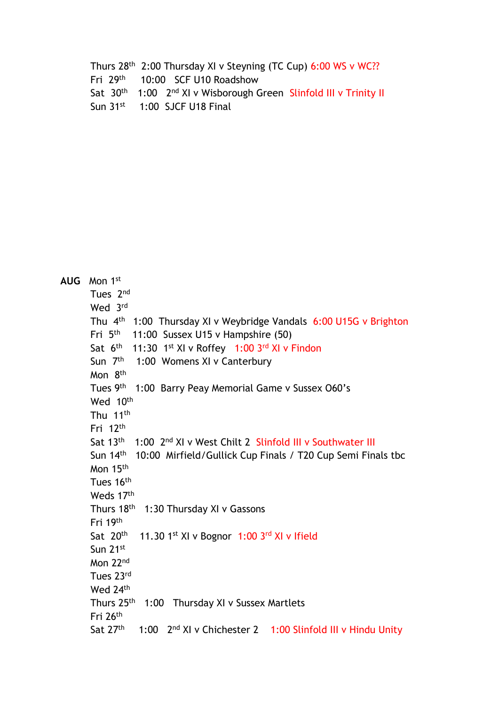Thurs 28<sup>th</sup> 2:00 Thursday XI v Steyning (TC Cup) 6:00 WS v WC?? Fri 29<sup>th</sup> 10:00 SCF U10 Roadshow Sat 30<sup>th</sup> 1:00 2<sup>nd</sup> XI v Wisborough Green Slinfold III v Trinity II Sun 31<sup>st</sup> 1:00 SJCF U18 Final

| AUG Mon 1st                                                                                    |  |  |
|------------------------------------------------------------------------------------------------|--|--|
| Tues 2 <sup>nd</sup>                                                                           |  |  |
| Wed 3rd                                                                                        |  |  |
| Thu 4 <sup>th</sup> 1:00 Thursday XI v Weybridge Vandals 6:00 U15G v Brighton                  |  |  |
| Fri $5th$ 11:00 Sussex U15 v Hampshire (50)                                                    |  |  |
| Sat 6th 11:30 1st XI v Roffey 1:00 3rd XI v Findon                                             |  |  |
| Sun 7 <sup>th</sup> 1:00 Womens XI v Canterbury                                                |  |  |
| Mon 8 <sup>th</sup>                                                                            |  |  |
| Tues 9th 1:00 Barry Peay Memorial Game v Sussex 060's                                          |  |  |
| Wed 10th                                                                                       |  |  |
| Thu 11 <sup>th</sup>                                                                           |  |  |
| Fri $12th$                                                                                     |  |  |
| Sat 13 <sup>th</sup> 1:00 2 <sup>nd</sup> XI v West Chilt 2 Slinfold III v Southwater III      |  |  |
| Sun 14 <sup>th</sup> 10:00 Mirfield/Gullick Cup Finals / T20 Cup Semi Finals tbc               |  |  |
| Mon 15th                                                                                       |  |  |
| Tues 16th                                                                                      |  |  |
| Weds 17th                                                                                      |  |  |
| Thurs 18th 1:30 Thursday XI v Gassons                                                          |  |  |
| Fri 19th                                                                                       |  |  |
| 11.30 1st XI v Bognor 1:00 3rd XI v Ifield<br>Sat 20 <sup>th</sup>                             |  |  |
| Sun 21st                                                                                       |  |  |
| Mon 22 <sup>nd</sup>                                                                           |  |  |
| Tues 23rd                                                                                      |  |  |
| Wed 24th                                                                                       |  |  |
| Thurs 25 <sup>th</sup> 1:00 Thursday XI v Sussex Martlets                                      |  |  |
| Fri 26th                                                                                       |  |  |
| Sat 27 <sup>th</sup><br>1:00 2 <sup>nd</sup> XI v Chichester 2 1:00 Slinfold III v Hindu Unity |  |  |